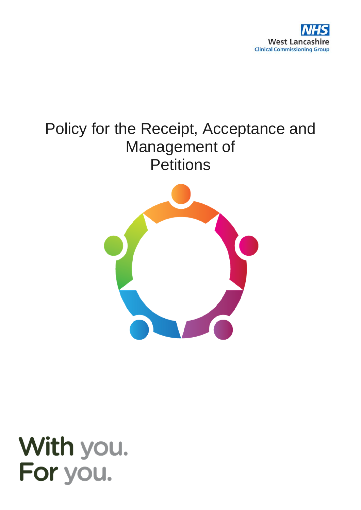

# Policy for the Receipt, Acceptance and Management of **Petitions**



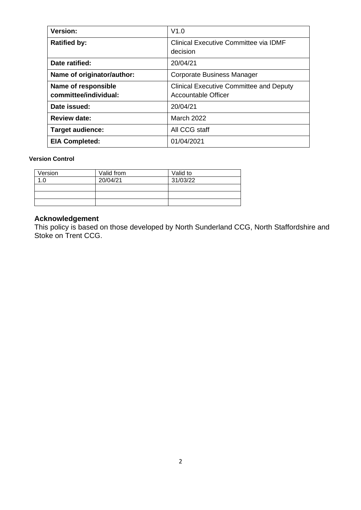| <b>Version:</b>                              | V1.0                                                                         |
|----------------------------------------------|------------------------------------------------------------------------------|
| <b>Ratified by:</b>                          | Clinical Executive Committee via IDMF<br>decision                            |
| Date ratified:                               | 20/04/21                                                                     |
| Name of originator/author:                   | Corporate Business Manager                                                   |
| Name of responsible<br>committee/individual: | <b>Clinical Executive Committee and Deputy</b><br><b>Accountable Officer</b> |
| Date issued:                                 | 20/04/21                                                                     |
| <b>Review date:</b>                          | <b>March 2022</b>                                                            |
| <b>Target audience:</b>                      | All CCG staff                                                                |
| <b>EIA Completed:</b>                        | 01/04/2021                                                                   |

#### **Version Control**

| Version | Valid from | Valid to |
|---------|------------|----------|
|         | 20/04/21   | 31/03/22 |
|         |            |          |
|         |            |          |
|         |            |          |

#### **Acknowledgement**

This policy is based on those developed by North Sunderland CCG, North Staffordshire and Stoke on Trent CCG.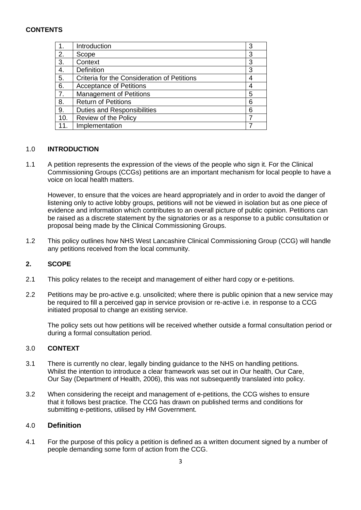# **CONTENTS**

|     | Introduction                                | 3 |
|-----|---------------------------------------------|---|
| 2.  | Scope                                       | 3 |
| 3.  | Context                                     | 3 |
| 4.  | <b>Definition</b>                           | 3 |
| 5.  | Criteria for the Consideration of Petitions | 4 |
| 6.  | <b>Acceptance of Petitions</b>              |   |
| 7.  | <b>Management of Petitions</b>              | 5 |
| 8.  | <b>Return of Petitions</b>                  | 6 |
| 9.  | <b>Duties and Responsibilities</b>          | 6 |
| 10. | Review of the Policy                        |   |
| 11. | Implementation                              |   |

## 1.0 **INTRODUCTION**

1.1 A petition represents the expression of the views of the people who sign it. For the Clinical Commissioning Groups (CCGs) petitions are an important mechanism for local people to have a voice on local health matters.

However, to ensure that the voices are heard appropriately and in order to avoid the danger of listening only to active lobby groups, petitions will not be viewed in isolation but as one piece of evidence and information which contributes to an overall picture of public opinion. Petitions can be raised as a discrete statement by the signatories or as a response to a public consultation or proposal being made by the Clinical Commissioning Groups.

1.2 This policy outlines how NHS West Lancashire Clinical Commissioning Group (CCG) will handle any petitions received from the local community.

## **2. SCOPE**

- 2.1 This policy relates to the receipt and management of either hard copy or e-petitions.
- 2.2 Petitions may be pro-active e.g. unsolicited; where there is public opinion that a new service may be required to fill a perceived gap in service provision or re-active i.e. in response to a CCG initiated proposal to change an existing service.

The policy sets out how petitions will be received whether outside a formal consultation period or during a formal consultation period.

## 3.0 **CONTEXT**

- 3.1 There is currently no clear, legally binding guidance to the NHS on handling petitions. Whilst the intention to introduce a clear framework was set out in Our health, Our Care, Our Say (Department of Health, 2006), this was not subsequently translated into policy.
- 3.2 When considering the receipt and management of e-petitions, the CCG wishes to ensure that it follows best practice. The CCG has drawn on published terms and conditions for submitting e-petitions, utilised by HM Government.

## 4.0 **Definition**

4.1 For the purpose of this policy a petition is defined as a written document signed by a number of people demanding some form of action from the CCG.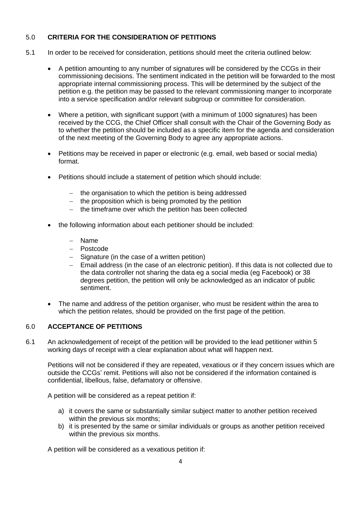## 5.0 **CRITERIA FOR THE CONSIDERATION OF PETITIONS**

- 5.1 In order to be received for consideration, petitions should meet the criteria outlined below:
	- A petition amounting to any number of signatures will be considered by the CCGs in their commissioning decisions. The sentiment indicated in the petition will be forwarded to the most appropriate internal commissioning process. This will be determined by the subject of the petition e.g. the petition may be passed to the relevant commissioning manger to incorporate into a service specification and/or relevant subgroup or committee for consideration.
	- Where a petition, with significant support (with a minimum of 1000 signatures) has been received by the CCG, the Chief Officer shall consult with the Chair of the Governing Body as to whether the petition should be included as a specific item for the agenda and consideration of the next meeting of the Governing Body to agree any appropriate actions.
	- Petitions may be received in paper or electronic (e.g. email, web based or social media) format.
	- Petitions should include a statement of petition which should include:
		- − the organisation to which the petition is being addressed
		- − the proposition which is being promoted by the petition
		- − the timeframe over which the petition has been collected
	- the following information about each petitioner should be included:
		- − Name
		- − Postcode
		- − Signature (in the case of a written petition)
		- − Email address (in the case of an electronic petition). If this data is not collected due to the data controller not sharing the data eg a social media (eg Facebook) or 38 degrees petition, the petition will only be acknowledged as an indicator of public sentiment.
	- The name and address of the petition organiser, who must be resident within the area to which the petition relates, should be provided on the first page of the petition.

## 6.0 **ACCEPTANCE OF PETITIONS**

6.1 An acknowledgement of receipt of the petition will be provided to the lead petitioner within 5 working days of receipt with a clear explanation about what will happen next.

Petitions will not be considered if they are repeated, vexatious or if they concern issues which are outside the CCGs' remit. Petitions will also not be considered if the information contained is confidential, libellous, false, defamatory or offensive.

A petition will be considered as a repeat petition if:

- a) it covers the same or substantially similar subject matter to another petition received within the previous six months;
- b) it is presented by the same or similar individuals or groups as another petition received within the previous six months.

A petition will be considered as a vexatious petition if: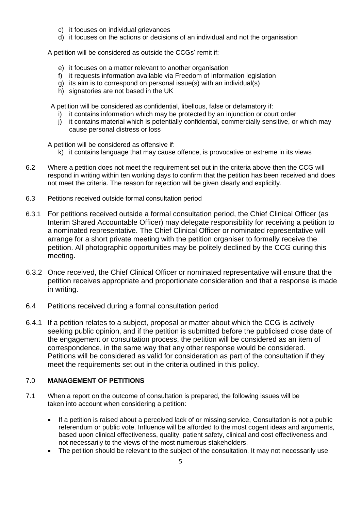- c) it focuses on individual grievances
- d) it focuses on the actions or decisions of an individual and not the organisation

A petition will be considered as outside the CCGs' remit if:

- e) it focuses on a matter relevant to another organisation
- f) it requests information available via Freedom of Information legislation
- g) its aim is to correspond on personal issue(s) with an individual(s)
- h) signatories are not based in the UK

A petition will be considered as confidential, libellous, false or defamatory if:

- i) it contains information which may be protected by an injunction or court order
- j) it contains material which is potentially confidential, commercially sensitive, or which may cause personal distress or loss

A petition will be considered as offensive if:

- k) it contains language that may cause offence, is provocative or extreme in its views
- 6.2 Where a petition does not meet the requirement set out in the criteria above then the CCG will respond in writing within ten working days to confirm that the petition has been received and does not meet the criteria. The reason for rejection will be given clearly and explicitly.
- 6.3 Petitions received outside formal consultation period
- 6.3.1 For petitions received outside a formal consultation period, the Chief Clinical Officer (as Interim Shared Accountable Officer) may delegate responsibility for receiving a petition to a nominated representative. The Chief Clinical Officer or nominated representative will arrange for a short private meeting with the petition organiser to formally receive the petition. All photographic opportunities may be politely declined by the CCG during this meeting.
- 6.3.2 Once received, the Chief Clinical Officer or nominated representative will ensure that the petition receives appropriate and proportionate consideration and that a response is made in writing.
- 6.4 Petitions received during a formal consultation period
- 6.4.1 If a petition relates to a subject, proposal or matter about which the CCG is actively seeking public opinion, and if the petition is submitted before the publicised close date of the engagement or consultation process, the petition will be considered as an item of correspondence, in the same way that any other response would be considered. Petitions will be considered as valid for consideration as part of the consultation if they meet the requirements set out in the criteria outlined in this policy.

#### 7.0 **MANAGEMENT OF PETITIONS**

- 7.1 When a report on the outcome of consultation is prepared, the following issues will be taken into account when considering a petition:
	- If a petition is raised about a perceived lack of or missing service, Consultation is not a public referendum or public vote. Influence will be afforded to the most cogent ideas and arguments, based upon clinical effectiveness, quality, patient safety, clinical and cost effectiveness and not necessarily to the views of the most numerous stakeholders.
	- The petition should be relevant to the subject of the consultation. It may not necessarily use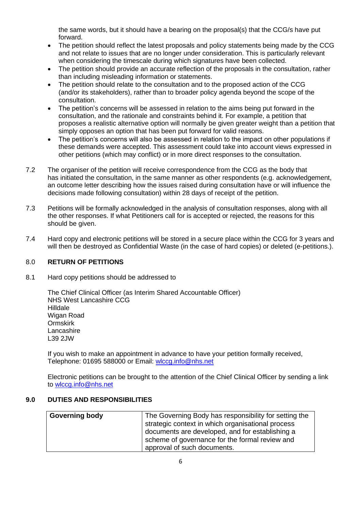the same words, but it should have a bearing on the proposal(s) that the CCG/s have put forward.

- The petition should reflect the latest proposals and policy statements being made by the CCG and not relate to issues that are no longer under consideration. This is particularly relevant when considering the timescale during which signatures have been collected.
- The petition should provide an accurate reflection of the proposals in the consultation, rather than including misleading information or statements.
- The petition should relate to the consultation and to the proposed action of the CCG (and/or its stakeholders), rather than to broader policy agenda beyond the scope of the consultation.
- The petition's concerns will be assessed in relation to the aims being put forward in the consultation, and the rationale and constraints behind it. For example, a petition that proposes a realistic alternative option will normally be given greater weight than a petition that simply opposes an option that has been put forward for valid reasons.
- The petition's concerns will also be assessed in relation to the impact on other populations if these demands were accepted. This assessment could take into account views expressed in other petitions (which may conflict) or in more direct responses to the consultation.
- 7.2 The organiser of the petition will receive correspondence from the CCG as the body that has initiated the consultation, in the same manner as other respondents (e.g. acknowledgement, an outcome letter describing how the issues raised during consultation have or will influence the decisions made following consultation) within 28 days of receipt of the petition.
- 7.3 Petitions will be formally acknowledged in the analysis of consultation responses, along with all the other responses. If what Petitioners call for is accepted or rejected, the reasons for this should be given.
- 7.4 Hard copy and electronic petitions will be stored in a secure place within the CCG for 3 years and will then be destroyed as Confidential Waste (in the case of hard copies) or deleted (e-petitions.).

## 8.0 **RETURN OF PETITIONS**

8.1 Hard copy petitions should be addressed to

The Chief Clinical Officer (as Interim Shared Accountable Officer) NHS West Lancashire CCG Hilldale Wigan Road Ormskirk **Lancashire** L39 2JW

If you wish to make an appointment in advance to have your petition formally received, Telephone: 01695 588000 or Email: [wlccg.info@nhs.net](mailto:wlccg.info@nhs.net)

Electronic petitions can be brought to the attention of the Chief Clinical Officer by sending a link to [wlccg.info@nhs.net](mailto:wlccg.info@nhs.net)

#### **9.0 DUTIES AND RESPONSIBILITIES**

| <b>Governing body</b> | The Governing Body has responsibility for setting the |
|-----------------------|-------------------------------------------------------|
|                       | strategic context in which organisational process     |
|                       | documents are developed, and for establishing a       |
|                       | scheme of governance for the formal review and        |
|                       | approval of such documents.                           |